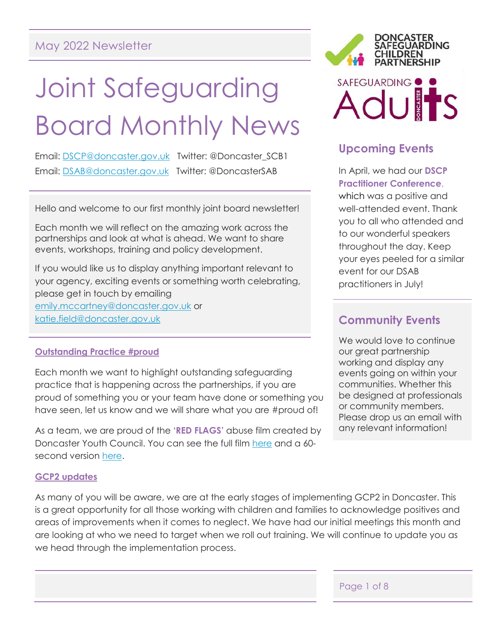# May 2022 Newsletter

# Joint Safeguarding Board Monthly News

Email: [DSCP@doncaster.gov.uk](mailto:DSCP@doncaster.gov.uk) Twitter: @Doncaster\_SCB1 Email: [DSAB@doncaster.gov.uk](mailto:DSAB@doncaster.gov.uk) Twitter: @DoncasterSAB

Hello and welcome to our first monthly joint board newsletter!

Each month we will reflect on the amazing work across the partnerships and look at what is ahead. We want to share events, workshops, training and policy development.

If you would like us to display anything important relevant to your agency, exciting events or something worth celebrating, please get in touch by emailing [emily.mccartney@doncaster.gov.uk](mailto:emily.mccartney@doncaster.gov.uk) or [katie.field@doncaster.gov.uk](mailto:katie.field@doncaster.gov.uk)

## **Outstanding Practice #proud**

Each month we want to highlight outstanding safeguarding practice that is happening across the partnerships, if you are proud of something you or your team have done or something you have seen, let us know and we will share what you are #proud of!

As a team, we are proud of the **'RED FLAGS'** abuse film created by Doncaster Youth Council. You can see the full film [here](https://youtu.be/rh20vPNFYpc) and a 60 second version [here.](https://youtu.be/VcVhttB-l5s)

## **GCP2 updates**

As many of you will be aware, we are at the early stages of implementing GCP2 in Doncaster. This is a great opportunity for all those working with children and families to acknowledge positives and areas of improvements when it comes to neglect. We have had our initial meetings this month and are looking at who we need to target when we roll out training. We will continue to update you as we head through the implementation process.



# **Upcoming Events**

In April, we had our **DSCP Practitioner Conference**, which was a positive and well-attended event. Thank you to all who attended and to our wonderful speakers throughout the day. Keep your eyes peeled for a similar event for our DSAB practitioners in July!

# **Community Events**

We would love to continue our great partnership working and display any events going on within your communities. Whether this be designed at professionals or community members. Please drop us an email with any relevant information!

Page 1 of 8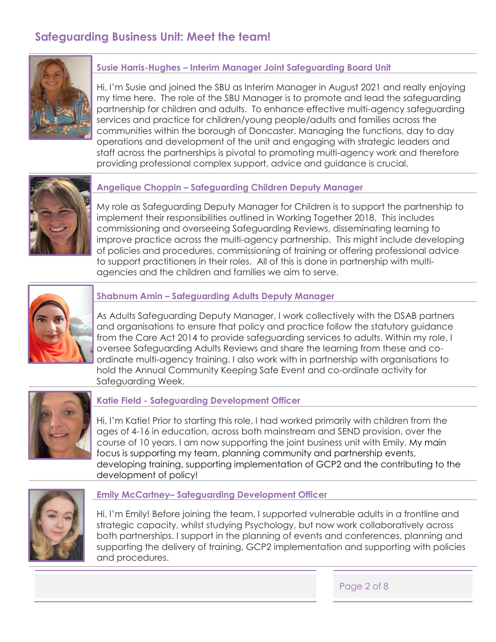# **Safeguarding Business Unit: Meet the team!**



## **Susie Harris-Hughes – Interim Manager Joint Safeguarding Board Unit**

Hi, I'm Susie and joined the SBU as Interim Manager in August 2021 and really enjoying my time here. The role of the SBU Manager is to promote and lead the safeguarding partnership for children and adults. To enhance effective multi-agency safeguarding services and practice for children/young people/adults and families across the communities within the borough of Doncaster. Managing the functions, day to day operations and development of the unit and engaging with strategic leaders and staff across the partnerships is pivotal to promoting multi-agency work and therefore providing professional complex support, advice and guidance is crucial.



## **Angelique Choppin – Safeguarding Children Deputy Manager**

My role as Safeguarding Deputy Manager for Children is to support the partnership to implement their responsibilities outlined in Working Together 2018. This includes commissioning and overseeing Safeguarding Reviews, disseminating learning to improve practice across the multi-agency partnership. This might include developing of policies and procedures, commissioning of training or offering professional advice to support practitioners in their roles. All of this is done in partnership with multiagencies and the children and families we aim to serve.



#### **Shabnum Amin – Safeguarding Adults Deputy Manager**

As Adults Safeguarding Deputy Manager, I work collectively with the DSAB partners and organisations to ensure that policy and practice follow the statutory guidance from the Care Act 2014 to provide safeguarding services to adults. Within my role, I oversee Safeguarding Adults Reviews and share the learning from these and coordinate multi-agency training. I also work with in partnership with organisations to hold the Annual Community Keeping Safe Event and co-ordinate activity for Safeguarding Week.



#### **Katie Field - Safeguarding Development Officer**

Hi, I'm Katie! Prior to starting this role, I had worked primarily with children from the ages of 4-16 in education, across both mainstream and SEND provision, over the course of 10 years. I am now supporting the joint business unit with Emily. My main focus is supporting my team, planning community and partnership events, developing training, supporting implementation of GCP2 and the contributing to the development of policy!



#### **Emily McCartney– Safeguarding Development Officer**

Hi, I'm Emily! Before joining the team, I supported vulnerable adults in a frontline and strategic capacity, whilst studying Psychology, but now work collaboratively across both partnerships. I support in the planning of events and conferences, planning and supporting the delivery of training, GCP2 implementation and supporting with policies and procedures.

Page 2 of 8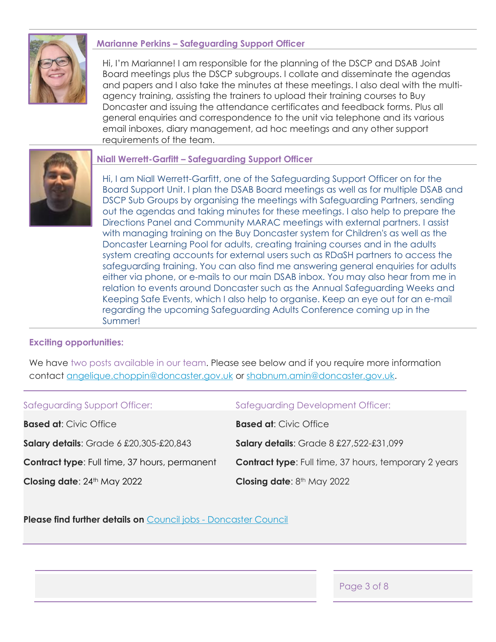

## **Marianne Perkins – Safeguarding Support Officer**

Hi, I'm Marianne! I am responsible for the planning of the DSCP and DSAB Joint Board meetings plus the DSCP subgroups. I collate and disseminate the agendas and papers and I also take the minutes at these meetings. I also deal with the multiagency training, assisting the trainers to upload their training courses to Buy Doncaster and issuing the attendance certificates and feedback forms. Plus all general enquiries and correspondence to the unit via telephone and its various email inboxes, diary management, ad hoc meetings and any other support requirements of the team.



#### **Niall Werrett-Garfitt – Safeguarding Support Officer**

Hi, I am Niall Werrett-Garfitt, one of the Safeguarding Support Officer on for the Board Support Unit. I plan the DSAB Board meetings as well as for multiple DSAB and DSCP Sub Groups by organising the meetings with Safeguarding Partners, sending out the agendas and taking minutes for these meetings. I also help to prepare the Directions Panel and Community MARAC meetings with external partners. I assist with managing training on the Buy Doncaster system for Children's as well as the Doncaster Learning Pool for adults, creating training courses and in the adults system creating accounts for external users such as RDaSH partners to access the safeguarding training. You can also find me answering general enquiries for adults either via phone, or e-mails to our main DSAB inbox. You may also hear from me in relation to events around Doncaster such as the Annual Safeguarding Weeks and Keeping Safe Events, which I also help to organise. Keep an eye out for an e-mail regarding the upcoming Safeguarding Adults Conference coming up in the Summer!

#### **Exciting opportunities:**

We have two posts available in our team. Please see below and if you require more information contact [angelique.choppin@doncaster.gov.uk](mailto:angelique.choppin@doncaster.gov.uk) or [shabnum.amin@doncaster.gov.uk.](mailto:shabnum.amin@doncaster.gov.uk)

Safeguarding Support Officer: Safeguarding Development Officer: **Based at**: Civic Office **Salary details**: Grade 6 £20,305-£20,843 **Contract type:** Full time, 37 hours, permanent **Closing date: 24th May 2022 Based at**: Civic Office **Salary details**: Grade 8 £27,522-£31,099 **Contract type:** Full time, 37 hours, temporary 2 years **Closing date: 8th May 2022** 

**Please find further details on** Council jobs - [Doncaster Council](https://www.doncaster.gov.uk/services/work-jobs-training/working-for-the-council)

Page 3 of 8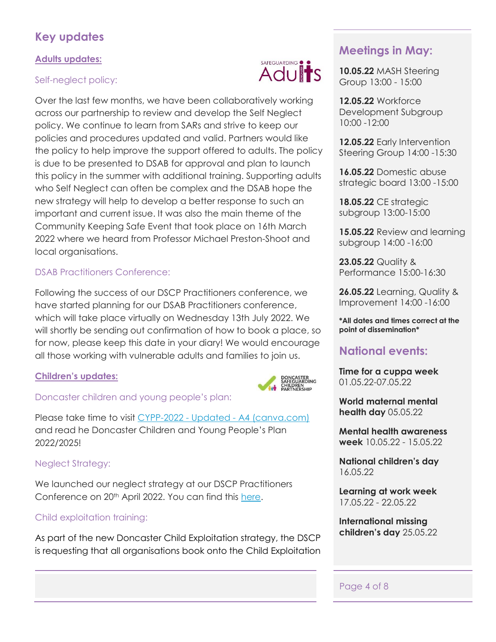# **Key updates**

# **Adults updates:**

# Self-neglect policy:

Over the last few months, we have been collaboratively working across our partnership to review and develop the Self Neglect policy. We continue to learn from SARs and strive to keep our policies and procedures updated and valid. Partners would like the policy to help improve the support offered to adults. The policy is due to be presented to DSAB for approval and plan to launch this policy in the summer with additional training. Supporting adults who Self Neglect can often be complex and the DSAB hope the new strategy will help to develop a better response to such an important and current issue. It was also the main theme of the Community Keeping Safe Event that took place on 16th March 2022 where we heard from Professor Michael Preston-Shoot and local organisations.

# DSAB Practitioners Conference:

Following the success of our DSCP Practitioners conference, we have started planning for our DSAB Practitioners conference, which will take place virtually on Wednesday 13th July 2022. We will shortly be sending out confirmation of how to book a place, so for now, please keep this date in your diary! We would encourage all those working with vulnerable adults and families to join us.

# **Children's updates:**



# Doncaster children and young people's plan:

Please take time to visit CYPP-2022 - Updated - [A4 \(canva.com\)](https://www.canva.com/design/DAE70SKsicE/PYOHyQc15wSAaCGRNBTyYg/view?utm_content=DAE70SKsicE&utm_campaign=designshare&utm_medium=link&utm_source=publishsharelink) and read he Doncaster Children and Young People's Plan 2022/2025!

# Neglect Strategy:

We launched our neglect strategy at our DSCP Practitioners Conference on 20<sup>th</sup> April 2022. You can find this [here.](https://dscp.org.uk/professionals/neglect)

# Child exploitation training:

As part of the new Doncaster Child Exploitation strategy, the DSCP is requesting that all organisations book onto the Child Exploitation

# SAFEGUARDING ● **Adults**

# **Meetings in May:**

**10.05.22** MASH Steering Group 13:00 - 15:00

**12.05.22** Workforce Development Subgroup 10:00 -12:00

**12.05.22** Early Intervention Steering Group 14:00 -15:30

**16.05.22** Domestic abuse strategic board 13:00 -15:00

**18.05.22** CE strategic subgroup 13:00-15:00

**15.05.22** Review and learning subgroup 14:00 -16:00

**23.05.22** Quality & Performance 15:00-16:30

**26.05.22** Learning, Quality & Improvement 14:00 -16:00

**\*All dates and times correct at the point of dissemination\*** 

# **National events:**

**Time for a cuppa week** 01.05.22-07.05.22

**World maternal mental health day** 05.05.22

**Mental health awareness week** 10.05.22 - 15.05.22

**National children's day** 16.05.22

**Learning at work week**  17.05.22 - 22.05.22

**International missing children's day** 25.05.22

# Page 4 of 8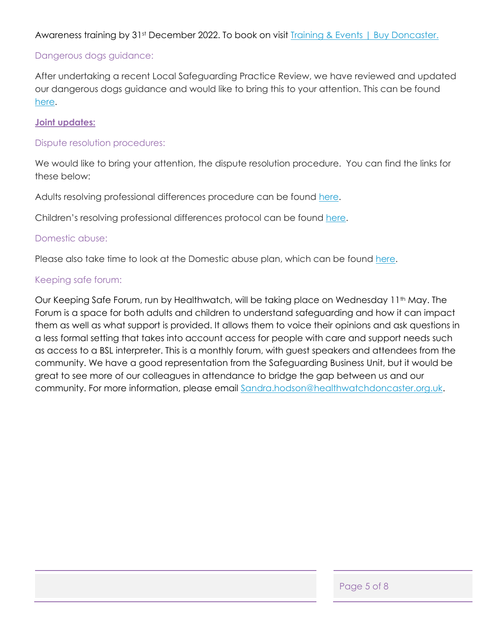Awareness training by 31st December 2022. To book on visit [Training & Events | Buy Doncaster.](https://buy.doncaster.gov.uk/Training)

## Dangerous dogs guidance:

After undertaking a recent Local Safeguarding Practice Review, we have reviewed and updated our dangerous dogs guidance and would like to bring this to your attention. This can be found [here.](https://doncasterscb.proceduresonline.com/p_dangerous_dogs.html)

#### **Joint updates:**

#### Dispute resolution procedures:

We would like to bring your attention, the dispute resolution procedure. You can find the links for these below:

Adults resolving professional differences procedure can be found [here.](https://dmbcwebstolive01.blob.core.windows.net/media/Default/AdultSocialCare/DSAB%20Resolving%20Professional%20Differences%20Procedural%20V2.0%20-%2027.11.17.pdf)

Children's resolving professional differences protocol can be found [here.](https://doncasterscb.proceduresonline.com/p_resolving_prof_diff.html?zoom_highlight=dispute)

#### Domestic abuse:

Please also take time to look at the Domestic abuse plan, which can be found [here.](https://eu-west-1.protection.sophos.com/?d=www.gov.uk&u=aHR0cHM6Ly93d3cuZ292LnVrL2dvdmVybm1lbnQvcHVibGljYXRpb25zL3RhY2tsaW5nLWRvbWVzdGljLWFidXNlLXBsYW4=&i=NjA0OGFhNGE1M2FhY2QwZTgyNzQ2OWJh&t=MHNHZFN0N3I4TktrcGcxMmlpSi9OR0NYZzc0R080L0VSeFlObkp5UlNZcz0=&h=e10d0fd891dc4c848a81217c37a8f135)

## Keeping safe forum:

Our Keeping Safe Forum, run by Healthwatch, will be taking place on Wednesday 11<sup>th</sup> May. The Forum is a space for both adults and children to understand safeguarding and how it can impact them as well as what support is provided. It allows them to voice their opinions and ask questions in a less formal setting that takes into account access for people with care and support needs such as access to a BSL interpreter. This is a monthly forum, with guest speakers and attendees from the community. We have a good representation from the Safeguarding Business Unit, but it would be great to see more of our colleagues in attendance to bridge the gap between us and our community. For more information, please email [Sandra.hodson@healthwatchdoncaster.org.uk.](mailto:Sandra.hodson@healthwatchdoncaster.org.uk)

Page 5 of 8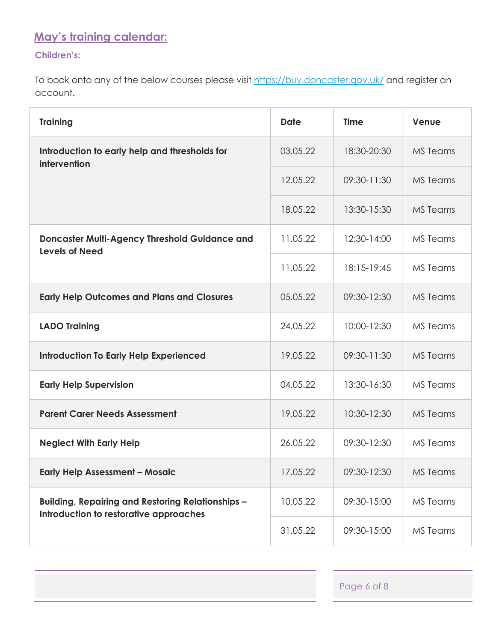# **May's training calendar:**

# **Children's:**

To book onto any of the below courses please visit<https://buy.doncaster.gov.uk/> and register an account.

| <b>Training</b>                                                                                    | <b>Date</b>             | <b>Time</b> | Venue           |
|----------------------------------------------------------------------------------------------------|-------------------------|-------------|-----------------|
| Introduction to early help and thresholds for<br>intervention                                      | 03.05.22                | 18:30-20:30 | <b>MS</b> Teams |
|                                                                                                    | 12.05.22                | 09:30-11:30 | <b>MS</b> Teams |
|                                                                                                    | 18.05.22                | 13:30-15:30 | <b>MS</b> Teams |
| <b>Doncaster Multi-Agency Threshold Guidance and</b><br><b>Levels of Need</b>                      | 11.05.22                | 12:30-14:00 | <b>MS</b> Teams |
|                                                                                                    | 11.05.22                | 18:15-19:45 | MS Teams        |
| <b>Early Help Outcomes and Plans and Closures</b>                                                  | 05.05.22                | 09:30-12:30 | MS Teams        |
| <b>LADO Training</b>                                                                               | 24.05.22                | 10:00-12:30 | <b>MS</b> Teams |
| <b>Introduction To Early Help Experienced</b>                                                      | 19.05.22                | 09:30-11:30 | <b>MS</b> Teams |
| <b>Early Help Supervision</b>                                                                      | 04.05.22<br>13:30-16:30 |             | <b>MS</b> Teams |
| <b>Parent Carer Needs Assessment</b>                                                               | 19.05.22                | 10:30-12:30 | <b>MS</b> Teams |
| <b>Neglect With Early Help</b>                                                                     | 26.05.22                | 09:30-12:30 | <b>MS</b> Teams |
| <b>Early Help Assessment - Mosaic</b>                                                              | 17.05.22                | 09:30-12:30 | <b>MS Teams</b> |
| <b>Building, Repairing and Restoring Relationships -</b><br>Introduction to restorative approaches | 10.05.22                | 09:30-15:00 | MS Teams        |
|                                                                                                    | 31.05.22                | 09:30-15:00 | MS Teams        |

Page 6 of 8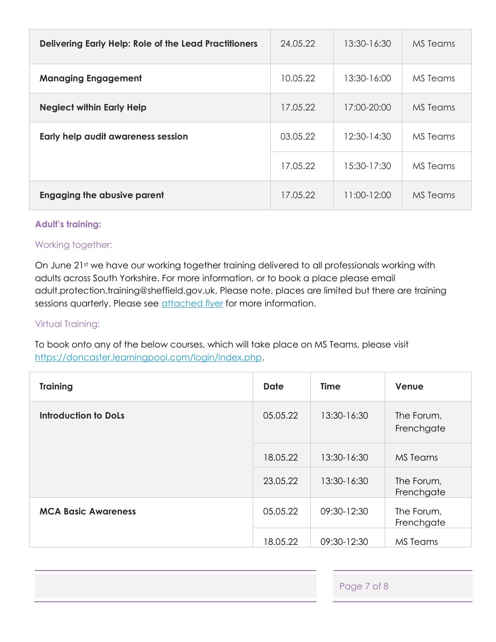| <b>Delivering Early Help: Role of the Lead Practitioners</b> | 24.05.22 | 13:30-16:30 | MS Teams |
|--------------------------------------------------------------|----------|-------------|----------|
| <b>Managing Engagement</b>                                   | 10.05.22 | 13:30-16:00 | MS Teams |
| <b>Neglect within Early Help</b>                             | 17.05.22 | 17:00-20:00 | MS Teams |
| Early help audit awareness session                           | 03.05.22 | 12:30-14:30 | MS Teams |
|                                                              | 17.05.22 | 15:30-17:30 | MS Teams |
| <b>Engaging the abusive parent</b>                           | 17.05.22 | 11:00-12:00 | MS Teams |

## **Adult's training:**

## Working together:

On June 21st we have our working together training delivered to all professionals working with adults across South Yorkshire. For more information, or to book a place please email adult.protection.training@sheffield.gov.uk. Please note, places are limited but there are training sessions quarterly. Please see [attached flyer](file:///C:/Users/EmilyMc/OneDrive%20-%20Doncaster%20Metropolitan%20Borough%20Council/Working%20together%20Flyer%202022-23.docx) for more information.

## Virtual Training:

To book onto any of the below courses, which will take place on MS Teams, please visit [https://doncaster.learningpool.com/login/index.php.](https://doncaster.learningpool.com/login/index.php)

| <b>Training</b>             | <b>Date</b> | <b>Time</b> | Venue                    |
|-----------------------------|-------------|-------------|--------------------------|
| <b>Introduction to DoLs</b> | 05.05.22    | 13:30-16:30 | The Forum,<br>Frenchgate |
|                             | 18.05.22    | 13:30-16:30 | <b>MS</b> Teams          |
|                             | 23.05.22    | 13:30-16:30 | The Forum,<br>Frenchgate |
| <b>MCA Basic Awareness</b>  | 05.05.22    | 09:30-12:30 | The Forum,<br>Frenchgate |
|                             | 18.05.22    | 09:30-12:30 | MS Teams                 |

Page 7 of 8